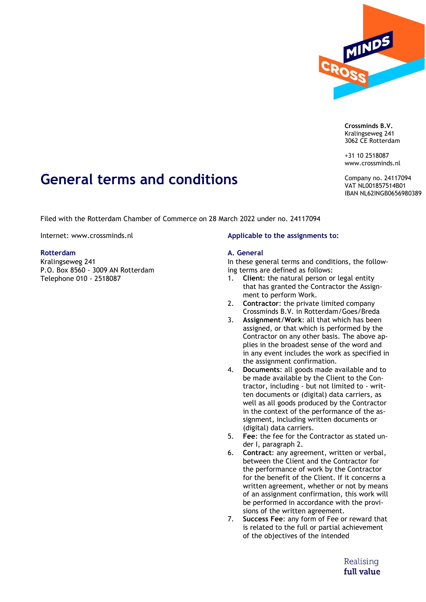

**Crossminds B.V.** Kralingseweg 241 3062 CE Rotterdam

+31 10 2518087 www.crossminds.nl

Company no. 24117094 VAT NL001857514B01 IBAN NL62INGB0656980389

# **General terms and conditions**

Filed with the Rotterdam Chamber of Commerce on 28 March 2022 under no. 24117094

Internet: www.crossminds.nl

## **Rotterdam**

Kralingseweg 241 P.O. Box 8560 - 3009 AN Rotterdam Telephone 010 - 2518087

## **Applicable to the assignments to:**

## **A. General**

In these general terms and conditions, the following terms are defined as follows:

- 1. **Client**: the natural person or legal entity that has granted the Contractor the Assignment to perform Work.
- 2. **Contractor**: the private limited company Crossminds B.V. in Rotterdam/Goes/Breda
- 3. **Assignment**/**Work**: all that which has been assigned, or that which is performed by the Contractor on any other basis. The above applies in the broadest sense of the word and in any event includes the work as specified in the assignment confirmation.
- 4. **Documents**: all goods made available and to be made available by the Client to the Contractor, including - but not limited to - written documents or (digital) data carriers, as well as all goods produced by the Contractor in the context of the performance of the assignment, including written documents or (digital) data carriers.
- 5. **Fee**: the fee for the Contractor as stated under I, paragraph 2.
- 6. **Contract**: any agreement, written or verbal, between the Client and the Contractor for the performance of work by the Contractor for the benefit of the Client. If it concerns a written agreement, whether or not by means of an assignment confirmation, this work will be performed in accordance with the provisions of the written agreement.
- 7. **Success Fee**: any form of Fee or reward that is related to the full or partial achievement of the objectives of the intended

Realising full value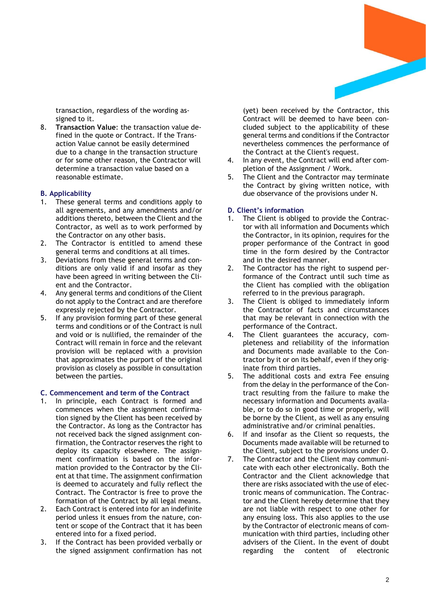transaction, regardless of the wording assigned to it.

8. **Transaction Value**: the transaction value defined in the quote or Contract. If the Transaction Value cannot be easily determined due to a change in the transaction structure or for some other reason, the Contractor will determine a transaction value based on a reasonable estimate.

## **B. Applicability**

- 1. These general terms and conditions apply to all agreements, and any amendments and/or additions thereto, between the Client and the Contractor, as well as to work performed by the Contractor on any other basis.
- 2. The Contractor is entitled to amend these general terms and conditions at all times.
- 3. Deviations from these general terms and conditions are only valid if and insofar as they have been agreed in writing between the Client and the Contractor.
- 4. Any general terms and conditions of the Client do not apply to the Contract and are therefore expressly rejected by the Contractor.
- 5. If any provision forming part of these general terms and conditions or of the Contract is null and void or is nullified, the remainder of the Contract will remain in force and the relevant provision will be replaced with a provision that approximates the purport of the original provision as closely as possible in consultation between the parties.

## **C. Commencement and term of the Contract**

- In principle, each Contract is formed and commences when the assignment confirmation signed by the Client has been received by the Contractor. As long as the Contractor has not received back the signed assignment confirmation, the Contractor reserves the right to deploy its capacity elsewhere. The assignment confirmation is based on the information provided to the Contractor by the Client at that time. The assignment confirmation is deemed to accurately and fully reflect the Contract. The Contractor is free to prove the formation of the Contract by all legal means.
- 2. Each Contract is entered into for an indefinite period unless it ensues from the nature, content or scope of the Contract that it has been entered into for a fixed period.
- 3. If the Contract has been provided verbally or the signed assignment confirmation has not

(yet) been received by the Contractor, this Contract will be deemed to have been concluded subject to the applicability of these general terms and conditions if the Contractor nevertheless commences the performance of the Contract at the Client's request.

- 4. In any event, the Contract will end after completion of the Assignment / Work.
- 5. The Client and the Contractor may terminate the Contract by giving written notice, with due observance of the provisions under N.

## **D. Client's information**

- 1. The Client is obliged to provide the Contractor with all information and Documents which the Contractor, in its opinion, requires for the proper performance of the Contract in good time in the form desired by the Contractor and in the desired manner.
- 2. The Contractor has the right to suspend performance of the Contract until such time as the Client has complied with the obligation referred to in the previous paragraph.
- 3. The Client is obliged to immediately inform the Contractor of facts and circumstances that may be relevant in connection with the performance of the Contract.
- 4. The Client guarantees the accuracy, completeness and reliability of the information and Documents made available to the Contractor by it or on its behalf, even if they originate from third parties.
- 5. The additional costs and extra Fee ensuing from the delay in the performance of the Contract resulting from the failure to make the necessary information and Documents available, or to do so in good time or properly, will be borne by the Client, as well as any ensuing administrative and/or criminal penalties.
- 6. If and insofar as the Client so requests, the Documents made available will be returned to the Client, subject to the provisions under O.
- 7. The Contractor and the Client may communicate with each other electronically. Both the Contractor and the Client acknowledge that there are risks associated with the use of electronic means of communication. The Contractor and the Client hereby determine that they are not liable with respect to one other for any ensuing loss. This also applies to the use by the Contractor of electronic means of communication with third parties, including other advisers of the Client. In the event of doubt regarding the content of electronic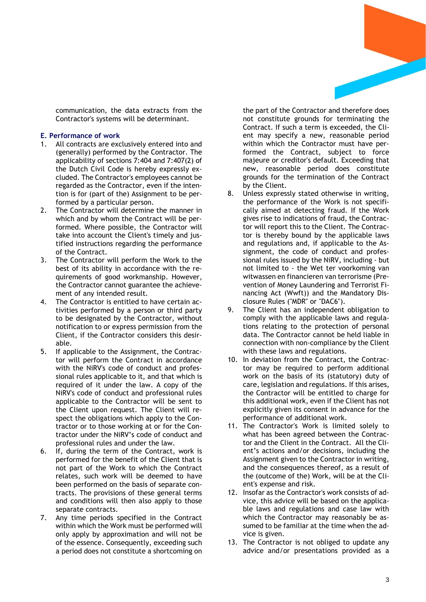

communication, the data extracts from the Contractor's systems will be determinant.

## **E. Performance of work**

- 1. All contracts are exclusively entered into and (generally) performed by the Contractor. The applicability of sections 7:404 and 7:407(2) of the Dutch Civil Code is hereby expressly excluded. The Contractor's employees cannot be regarded as the Contractor, even if the intention is for (part of the) Assignment to be performed by a particular person.
- 2. The Contractor will determine the manner in which and by whom the Contract will be performed. Where possible, the Contractor will take into account the Client's timely and justified instructions regarding the performance of the Contract.
- 3. The Contractor will perform the Work to the best of its ability in accordance with the requirements of good workmanship. However, the Contractor cannot guarantee the achievement of any intended result.
- 4. The Contractor is entitled to have certain activities performed by a person or third party to be designated by the Contractor, without notification to or express permission from the Client, if the Contractor considers this desirable.
- 5. If applicable to the Assignment, the Contractor will perform the Contract in accordance with the NiRV's code of conduct and professional rules applicable to it, and that which is required of it under the law. A copy of the NiRV's code of conduct and professional rules applicable to the Contractor will be sent to the Client upon request. The Client will respect the obligations which apply to the Contractor or to those working at or for the Contractor under the NiRV's code of conduct and professional rules and under the law.
- 6. If, during the term of the Contract, work is performed for the benefit of the Client that is not part of the Work to which the Contract relates, such work will be deemed to have been performed on the basis of separate contracts. The provisions of these general terms and conditions will then also apply to those separate contracts.
- 7. Any time periods specified in the Contract within which the Work must be performed will only apply by approximation and will not be of the essence. Consequently, exceeding such a period does not constitute a shortcoming on

the part of the Contractor and therefore does not constitute grounds for terminating the Contract. If such a term is exceeded, the Client may specify a new, reasonable period within which the Contractor must have performed the Contract, subject to force majeure or creditor's default. Exceeding that new, reasonable period does constitute grounds for the termination of the Contract by the Client.

- 8. Unless expressly stated otherwise in writing, the performance of the Work is not specifically aimed at detecting fraud. If the Work gives rise to indications of fraud, the Contractor will report this to the Client. The Contractor is thereby bound by the applicable laws and regulations and, if applicable to the Assignment, the code of conduct and professional rules issued by the NiRV, including - but not limited to - the Wet ter voorkoming van witwassen en financieren van terrorisme (Prevention of Money Laundering and Terrorist Financing Act (Wwft)) and the Mandatory Disclosure Rules ("MDR" or "DAC6").
- 9. The Client has an independent obligation to comply with the applicable laws and regulations relating to the protection of personal data. The Contractor cannot be held liable in connection with non-compliance by the Client with these laws and regulations.
- 10. In deviation from the Contract, the Contractor may be required to perform additional work on the basis of its (statutory) duty of care, legislation and regulations. If this arises, the Contractor will be entitled to charge for this additional work, even if the Client has not explicitly given its consent in advance for the performance of additional work.
- 11. The Contractor's Work is limited solely to what has been agreed between the Contractor and the Client in the Contract. All the Client's actions and/or decisions, including the Assignment given to the Contractor in writing, and the consequences thereof, as a result of the (outcome of the) Work, will be at the Client's expense and risk.
- 12. Insofar as the Contractor's work consists of advice, this advice will be based on the applicable laws and regulations and case law with which the Contractor may reasonably be assumed to be familiar at the time when the advice is given.
- 13. The Contractor is not obliged to update any advice and/or presentations provided as a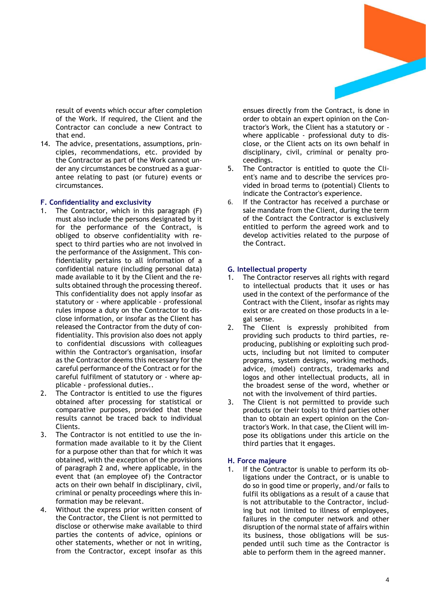

result of events which occur after completion of the Work. If required, the Client and the Contractor can conclude a new Contract to that end.

14. The advice, presentations, assumptions, principles, recommendations, etc. provided by the Contractor as part of the Work cannot under any circumstances be construed as a guarantee relating to past (or future) events or circumstances.

### **F. Confidentiality and exclusivity**

- 1. The Contractor, which in this paragraph (F) must also include the persons designated by it for the performance of the Contract, is obliged to observe confidentiality with respect to third parties who are not involved in the performance of the Assignment. This confidentiality pertains to all information of a confidential nature (including personal data) made available to it by the Client and the results obtained through the processing thereof. This confidentiality does not apply insofar as statutory or - where applicable - professional rules impose a duty on the Contractor to disclose information, or insofar as the Client has released the Contractor from the duty of confidentiality. This provision also does not apply to confidential discussions with colleagues within the Contractor's organisation, insofar as the Contractor deems this necessary for the careful performance of the Contract or for the careful fulfilment of statutory or - where applicable - professional duties..
- 2. The Contractor is entitled to use the figures obtained after processing for statistical or comparative purposes, provided that these results cannot be traced back to individual Clients.
- 3. The Contractor is not entitled to use the information made available to it by the Client for a purpose other than that for which it was obtained, with the exception of the provisions of paragraph 2 and, where applicable, in the event that (an employee of) the Contractor acts on their own behalf in disciplinary, civil, criminal or penalty proceedings where this information may be relevant.
- 4. Without the express prior written consent of the Contractor, the Client is not permitted to disclose or otherwise make available to third parties the contents of advice, opinions or other statements, whether or not in writing, from the Contractor, except insofar as this

ensues directly from the Contract, is done in order to obtain an expert opinion on the Contractor's Work, the Client has a statutory or where applicable - professional duty to disclose, or the Client acts on its own behalf in disciplinary, civil, criminal or penalty proceedings.

- 5. The Contractor is entitled to quote the Client's name and to describe the services provided in broad terms to (potential) Clients to indicate the Contractor's experience.
- 6. If the Contractor has received a purchase or sale mandate from the Client, during the term of the Contract the Contractor is exclusively entitled to perform the agreed work and to develop activities related to the purpose of the Contract.

### **G. Intellectual property**

- 1. The Contractor reserves all rights with regard to intellectual products that it uses or has used in the context of the performance of the Contract with the Client, insofar as rights may exist or are created on those products in a legal sense.
- 2. The Client is expressly prohibited from providing such products to third parties, reproducing, publishing or exploiting such products, including but not limited to computer programs, system designs, working methods, advice, (model) contracts, trademarks and logos and other intellectual products, all in the broadest sense of the word, whether or not with the involvement of third parties.
- 3. The Client is not permitted to provide such products (or their tools) to third parties other than to obtain an expert opinion on the Contractor's Work. In that case, the Client will impose its obligations under this article on the third parties that it engages.

#### **H. Force majeure**

1. If the Contractor is unable to perform its obligations under the Contract, or is unable to do so in good time or properly, and/or fails to fulfil its obligations as a result of a cause that is not attributable to the Contractor, including but not limited to illness of employees, failures in the computer network and other disruption of the normal state of affairs within its business, those obligations will be suspended until such time as the Contractor is able to perform them in the agreed manner.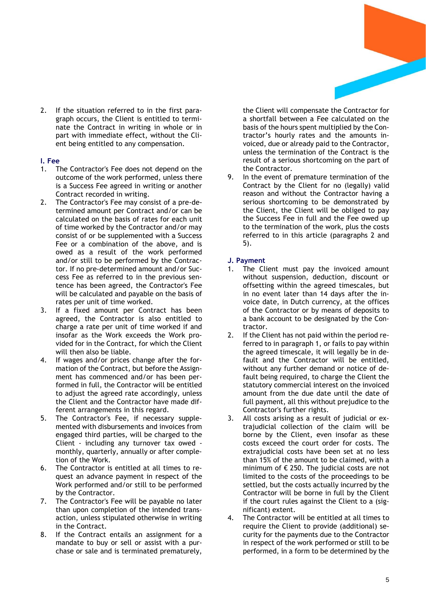

2. If the situation referred to in the first paragraph occurs, the Client is entitled to terminate the Contract in writing in whole or in part with immediate effect, without the Client being entitled to any compensation.

# **I. Fee**

- The Contractor's Fee does not depend on the outcome of the work performed, unless there is a Success Fee agreed in writing or another Contract recorded in writing.
- 2. The Contractor's Fee may consist of a pre-determined amount per Contract and/or can be calculated on the basis of rates for each unit of time worked by the Contractor and/or may consist of or be supplemented with a Success Fee or a combination of the above, and is owed as a result of the work performed and/or still to be performed by the Contractor. If no pre-determined amount and/or Success Fee as referred to in the previous sentence has been agreed, the Contractor's Fee will be calculated and payable on the basis of rates per unit of time worked.
- 3. If a fixed amount per Contract has been agreed, the Contractor is also entitled to charge a rate per unit of time worked if and insofar as the Work exceeds the Work provided for in the Contract, for which the Client will then also be liable.
- 4. If wages and/or prices change after the formation of the Contract, but before the Assignment has commenced and/or has been performed in full, the Contractor will be entitled to adjust the agreed rate accordingly, unless the Client and the Contractor have made different arrangements in this regard.
- 5. The Contractor's Fee, if necessary supplemented with disbursements and invoices from engaged third parties, will be charged to the Client - including any turnover tax owed monthly, quarterly, annually or after completion of the Work.
- 6. The Contractor is entitled at all times to request an advance payment in respect of the Work performed and/or still to be performed by the Contractor.
- 7. The Contractor's Fee will be payable no later than upon completion of the intended transaction, unless stipulated otherwise in writing in the Contract.
- 8. If the Contract entails an assignment for a mandate to buy or sell or assist with a purchase or sale and is terminated prematurely,

the Client will compensate the Contractor for a shortfall between a Fee calculated on the basis of the hours spent multiplied by the Contractor's hourly rates and the amounts invoiced, due or already paid to the Contractor, unless the termination of the Contract is the result of a serious shortcoming on the part of the Contractor.

9. In the event of premature termination of the Contract by the Client for no (legally) valid reason and without the Contractor having a serious shortcoming to be demonstrated by the Client, the Client will be obliged to pay the Success Fee in full and the Fee owed up to the termination of the work, plus the costs referred to in this article (paragraphs 2 and 5).

# **J. Payment**

- 1. The Client must pay the invoiced amount without suspension, deduction, discount or offsetting within the agreed timescales, but in no event later than 14 days after the invoice date, in Dutch currency, at the offices of the Contractor or by means of deposits to a bank account to be designated by the Contractor.
- 2. If the Client has not paid within the period referred to in paragraph 1, or fails to pay within the agreed timescale, it will legally be in default and the Contractor will be entitled, without any further demand or notice of default being required, to charge the Client the statutory commercial interest on the invoiced amount from the due date until the date of full payment, all this without prejudice to the Contractor's further rights.
- 3. All costs arising as a result of judicial or extrajudicial collection of the claim will be borne by the Client, even insofar as these costs exceed the court order for costs. The extrajudicial costs have been set at no less than 15% of the amount to be claimed, with a minimum of  $\epsilon$  250. The judicial costs are not limited to the costs of the proceedings to be settled, but the costs actually incurred by the Contractor will be borne in full by the Client if the court rules against the Client to a (significant) extent.
- 4. The Contractor will be entitled at all times to require the Client to provide (additional) security for the payments due to the Contractor in respect of the work performed or still to be performed, in a form to be determined by the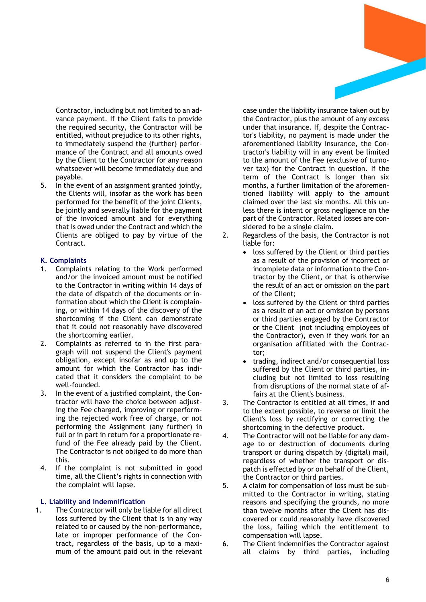Contractor, including but not limited to an advance payment. If the Client fails to provide the required security, the Contractor will be entitled, without prejudice to its other rights, to immediately suspend the (further) performance of the Contract and all amounts owed by the Client to the Contractor for any reason whatsoever will become immediately due and payable.

5. In the event of an assignment granted jointly, the Clients will, insofar as the work has been performed for the benefit of the joint Clients, be jointly and severally liable for the payment of the invoiced amount and for everything that is owed under the Contract and which the Clients are obliged to pay by virtue of the Contract.

## **K. Complaints**

- 1. Complaints relating to the Work performed and/or the invoiced amount must be notified to the Contractor in writing within 14 days of the date of dispatch of the documents or information about which the Client is complaining, or within 14 days of the discovery of the shortcoming if the Client can demonstrate that it could not reasonably have discovered the shortcoming earlier.
- 2. Complaints as referred to in the first paragraph will not suspend the Client's payment obligation, except insofar as and up to the amount for which the Contractor has indicated that it considers the complaint to be well-founded.
- 3. In the event of a justified complaint, the Contractor will have the choice between adjusting the Fee charged, improving or reperforming the rejected work free of charge, or not performing the Assignment (any further) in full or in part in return for a proportionate refund of the Fee already paid by the Client. The Contractor is not obliged to do more than this.
- 4. If the complaint is not submitted in good time, all the Client's rights in connection with the complaint will lapse.

### **L. Liability and indemnification**

1. The Contractor will only be liable for all direct loss suffered by the Client that is in any way related to or caused by the non-performance, late or improper performance of the Contract, regardless of the basis, up to a maximum of the amount paid out in the relevant

case under the liability insurance taken out by the Contractor, plus the amount of any excess under that insurance. If, despite the Contractor's liability, no payment is made under the aforementioned liability insurance, the Contractor's liability will in any event be limited to the amount of the Fee (exclusive of turnover tax) for the Contract in question. If the term of the Contract is longer than six months, a further limitation of the aforementioned liability will apply to the amount claimed over the last six months. All this unless there is intent or gross negligence on the part of the Contractor. Related losses are considered to be a single claim.

- 2. Regardless of the basis, the Contractor is not liable for:
	- loss suffered by the Client or third parties as a result of the provision of incorrect or incomplete data or information to the Contractor by the Client, or that is otherwise the result of an act or omission on the part of the Client;
	- loss suffered by the Client or third parties as a result of an act or omission by persons or third parties engaged by the Contractor or the Client (not including employees of the Contractor), even if they work for an organisation affiliated with the Contractor;
	- trading, indirect and/or consequential loss suffered by the Client or third parties, including but not limited to loss resulting from disruptions of the normal state of affairs at the Client's business.
- 3. The Contractor is entitled at all times, if and to the extent possible, to reverse or limit the Client's loss by rectifying or correcting the shortcoming in the defective product.
- 4. The Contractor will not be liable for any damage to or destruction of documents during transport or during dispatch by (digital) mail, regardless of whether the transport or dispatch is effected by or on behalf of the Client, the Contractor or third parties.
- 5. A claim for compensation of loss must be submitted to the Contractor in writing, stating reasons and specifying the grounds, no more than twelve months after the Client has discovered or could reasonably have discovered the loss, failing which the entitlement to compensation will lapse.
- 6. The Client indemnifies the Contractor against all claims by third parties, including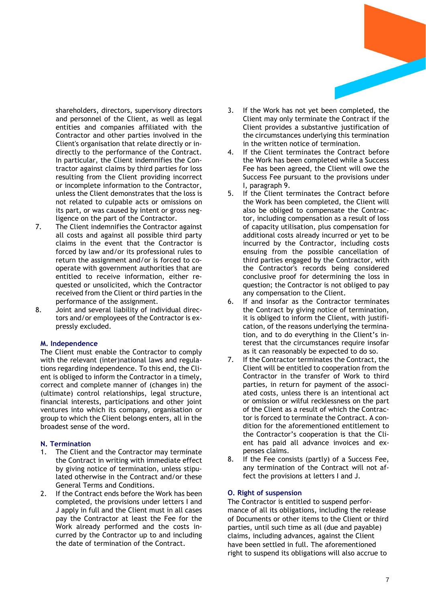

shareholders, directors, supervisory directors and personnel of the Client, as well as legal entities and companies affiliated with the Contractor and other parties involved in the Client's organisation that relate directly or indirectly to the performance of the Contract. In particular, the Client indemnifies the Contractor against claims by third parties for loss resulting from the Client providing incorrect or incomplete information to the Contractor, unless the Client demonstrates that the loss is not related to culpable acts or omissions on its part, or was caused by intent or gross negligence on the part of the Contractor.

- 7. The Client indemnifies the Contractor against all costs and against all possible third party claims in the event that the Contractor is forced by law and/or its professional rules to return the assignment and/or is forced to cooperate with government authorities that are entitled to receive information, either requested or unsolicited, which the Contractor received from the Client or third parties in the performance of the assignment.
- 8. Joint and several liability of individual directors and/or employees of the Contractor is expressly excluded.

### **M. Independence**

The Client must enable the Contractor to comply with the relevant (inter)national laws and regulations regarding independence. To this end, the Client is obliged to inform the Contractor in a timely, correct and complete manner of (changes in) the (ultimate) control relationships, legal structure, financial interests, participations and other joint ventures into which its company, organisation or group to which the Client belongs enters, all in the broadest sense of the word.

### **N. Termination**

- 1. The Client and the Contractor may terminate the Contract in writing with immediate effect by giving notice of termination, unless stipulated otherwise in the Contract and/or these General Terms and Conditions.
- 2. If the Contract ends before the Work has been completed, the provisions under letters I and J apply in full and the Client must in all cases pay the Contractor at least the Fee for the Work already performed and the costs incurred by the Contractor up to and including the date of termination of the Contract.
- 3. If the Work has not yet been completed, the Client may only terminate the Contract if the Client provides a substantive justification of the circumstances underlying this termination in the written notice of termination.
- 4. If the Client terminates the Contract before the Work has been completed while a Success Fee has been agreed, the Client will owe the Success Fee pursuant to the provisions under I, paragraph 9.
- 5. If the Client terminates the Contract before the Work has been completed, the Client will also be obliged to compensate the Contractor, including compensation as a result of loss of capacity utilisation, plus compensation for additional costs already incurred or yet to be incurred by the Contractor, including costs ensuing from the possible cancellation of third parties engaged by the Contractor, with the Contractor's records being considered conclusive proof for determining the loss in question; the Contractor is not obliged to pay any compensation to the Client.
- 6. If and insofar as the Contractor terminates the Contract by giving notice of termination, it is obliged to inform the Client, with justification, of the reasons underlying the termination, and to do everything in the Client's interest that the circumstances require insofar as it can reasonably be expected to do so.
- 7. If the Contractor terminates the Contract, the Client will be entitled to cooperation from the Contractor in the transfer of Work to third parties, in return for payment of the associated costs, unless there is an intentional act or omission or wilful recklessness on the part of the Client as a result of which the Contractor is forced to terminate the Contract. A condition for the aforementioned entitlement to the Contractor's cooperation is that the Client has paid all advance invoices and expenses claims.
- 8. If the Fee consists (partly) of a Success Fee, any termination of the Contract will not affect the provisions at letters I and J.

## **O. Right of suspension**

The Contractor is entitled to suspend performance of all its obligations, including the release of Documents or other items to the Client or third parties, until such time as all (due and payable) claims, including advances, against the Client have been settled in full. The aforementioned right to suspend its obligations will also accrue to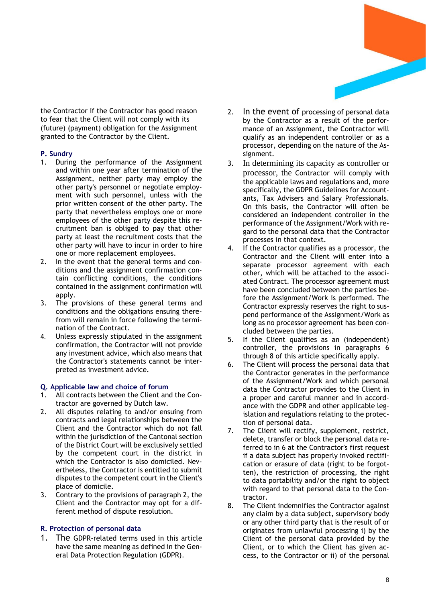

the Contractor if the Contractor has good reason to fear that the Client will not comply with its (future) (payment) obligation for the Assignment granted to the Contractor by the Client.

# **P. Sundry**

- 1. During the performance of the Assignment and within one year after termination of the Assignment, neither party may employ the other party's personnel or negotiate employment with such personnel, unless with the prior written consent of the other party. The party that nevertheless employs one or more employees of the other party despite this recruitment ban is obliged to pay that other party at least the recruitment costs that the other party will have to incur in order to hire one or more replacement employees.
- 2. In the event that the general terms and conditions and the assignment confirmation contain conflicting conditions, the conditions contained in the assignment confirmation will apply.
- 3. The provisions of these general terms and conditions and the obligations ensuing therefrom will remain in force following the termination of the Contract.
- 4. Unless expressly stipulated in the assignment confirmation, the Contractor will not provide any investment advice, which also means that the Contractor's statements cannot be interpreted as investment advice.

# **Q. Applicable law and choice of forum**

- 1. All contracts between the Client and the Contractor are governed by Dutch law.
- 2. All disputes relating to and/or ensuing from contracts and legal relationships between the Client and the Contractor which do not fall within the jurisdiction of the Cantonal section of the District Court will be exclusively settled by the competent court in the district in which the Contractor is also domiciled. Nevertheless, the Contractor is entitled to submit disputes to the competent court in the Client's place of domicile.
- 3. Contrary to the provisions of paragraph 2, the Client and the Contractor may opt for a different method of dispute resolution.

# **R. Protection of personal data**

1. The GDPR-related terms used in this article have the same meaning as defined in the General Data Protection Regulation (GDPR).

- 2. In the event of processing of personal data by the Contractor as a result of the performance of an Assignment, the Contractor will qualify as an independent controller or as a processor, depending on the nature of the Assignment.
- 3. In determining its capacity as controller or processor, the Contractor will comply with the applicable laws and regulations and, more specifically, the GDPR Guidelines for Accountants, Tax Advisers and Salary Professionals. On this basis, the Contractor will often be considered an independent controller in the performance of the Assignment/Work with regard to the personal data that the Contractor processes in that context.
- 4. If the Contractor qualifies as a processor, the Contractor and the Client will enter into a separate processor agreement with each other, which will be attached to the associated Contract. The processor agreement must have been concluded between the parties before the Assignment/Work is performed. The Contractor expressly reserves the right to suspend performance of the Assignment/Work as long as no processor agreement has been concluded between the parties.
- 5. If the Client qualifies as an (independent) controller, the provisions in paragraphs 6 through 8 of this article specifically apply.
- 6. The Client will process the personal data that the Contractor generates in the performance of the Assignment/Work and which personal data the Contractor provides to the Client in a proper and careful manner and in accordance with the GDPR and other applicable legislation and regulations relating to the protection of personal data.
- 7. The Client will rectify, supplement, restrict, delete, transfer or block the personal data referred to in 6 at the Contractor's first request if a data subject has properly invoked rectification or erasure of data (right to be forgotten), the restriction of processing, the right to data portability and/or the right to object with regard to that personal data to the Contractor.
- 8. The Client indemnifies the Contractor against any claim by a data subject, supervisory body or any other third party that is the result of or originates from unlawful processing i) by the Client of the personal data provided by the Client, or to which the Client has given access, to the Contractor or ii) of the personal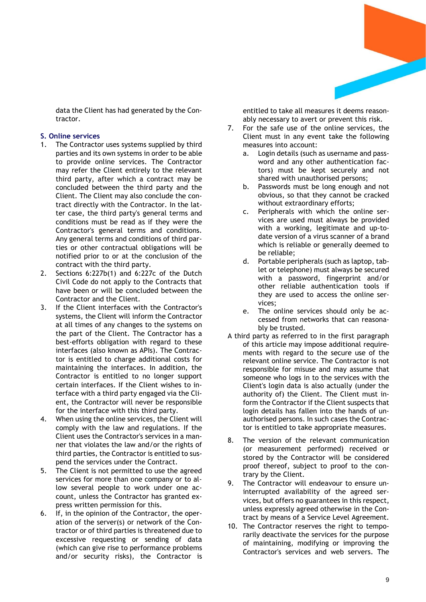

data the Client has had generated by the Contractor.

### **S. Online services**

- 1. The Contractor uses systems supplied by third parties and its own systems in order to be able to provide online services. The Contractor may refer the Client entirely to the relevant third party, after which a contract may be concluded between the third party and the Client. The Client may also conclude the contract directly with the Contractor. In the latter case, the third party's general terms and conditions must be read as if they were the Contractor's general terms and conditions. Any general terms and conditions of third parties or other contractual obligations will be notified prior to or at the conclusion of the contract with the third party.
- 2. Sections 6:227b(1) and 6:227c of the Dutch Civil Code do not apply to the Contracts that have been or will be concluded between the Contractor and the Client.
- 3. If the Client interfaces with the Contractor's systems, the Client will inform the Contractor at all times of any changes to the systems on the part of the Client. The Contractor has a best-efforts obligation with regard to these interfaces (also known as APIs). The Contractor is entitled to charge additional costs for maintaining the interfaces. In addition, the Contractor is entitled to no longer support certain interfaces. If the Client wishes to interface with a third party engaged via the Client, the Contractor will never be responsible for the interface with this third party.
- 4. When using the online services, the Client will comply with the law and regulations. If the Client uses the Contractor's services in a manner that violates the law and/or the rights of third parties, the Contractor is entitled to suspend the services under the Contract.
- 5. The Client is not permitted to use the agreed services for more than one company or to allow several people to work under one account, unless the Contractor has granted express written permission for this.
- 6. If, in the opinion of the Contractor, the operation of the server(s) or network of the Contractor or of third parties is threatened due to excessive requesting or sending of data (which can give rise to performance problems and/or security risks), the Contractor is

entitled to take all measures it deems reasonably necessary to avert or prevent this risk.

- 7. For the safe use of the online services, the Client must in any event take the following measures into account:
	- a. Login details (such as username and password and any other authentication factors) must be kept securely and not shared with unauthorised persons;
	- b. Passwords must be long enough and not obvious, so that they cannot be cracked without extraordinary efforts;
	- c. Peripherals with which the online services are used must always be provided with a working, legitimate and up-todate version of a virus scanner of a brand which is reliable or generally deemed to be reliable;
	- d. Portable peripherals (such as laptop, tablet or telephone) must always be secured with a password, fingerprint and/or other reliable authentication tools if they are used to access the online services;
	- e. The online services should only be accessed from networks that can reasonably be trusted.
- A third party as referred to in the first paragraph of this article may impose additional requirements with regard to the secure use of the relevant online service. The Contractor is not responsible for misuse and may assume that someone who logs in to the services with the Client's login data is also actually (under the authority of) the Client. The Client must inform the Contractor if the Client suspects that login details has fallen into the hands of unauthorised persons. In such cases the Contractor is entitled to take appropriate measures.
- 8. The version of the relevant communication (or measurement performed) received or stored by the Contractor will be considered proof thereof, subject to proof to the contrary by the Client.
- 9. The Contractor will endeavour to ensure uninterrupted availability of the agreed services, but offers no guarantees in this respect, unless expressly agreed otherwise in the Contract by means of a Service Level Agreement.
- 10. The Contractor reserves the right to temporarily deactivate the services for the purpose of maintaining, modifying or improving the Contractor's services and web servers. The